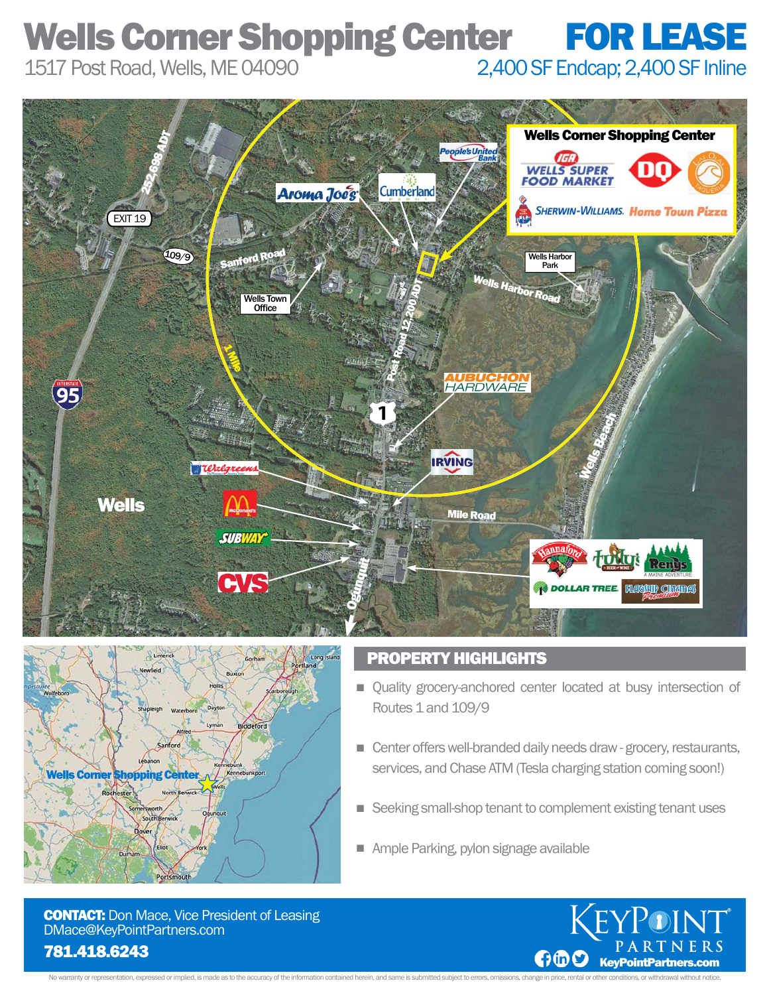## Wells Corner Shopping Center FOR LEASE 1517 Post Road, Wells, ME 04090 2,400 SF Endcap; 2,400 SF Inline





### PROPERTY HIGHLIGHTS

- **Quality grocery-anchored center located at busy intersection of** Routes 1 and 109/9
- **Center offers well-branded daily needs draw grocery, restaurants,** services, and Chase ATM (Tesla charging station coming soon!)
- Seeking small-shop tenant to complement existing tenant uses n
- **Ample Parking, pylon signage available**

**CONTACT:** Don Mace, Vice President of Leasing DMace@KeyPointPartners.com



No warranty or representation, expressed or implied, is made as to the accuracy of the information contained herein, and same is submitted subject to errors, omissions, change